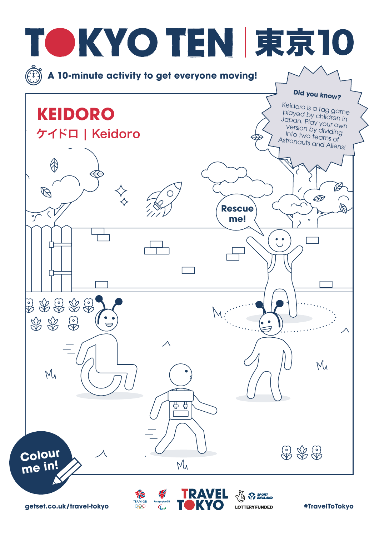